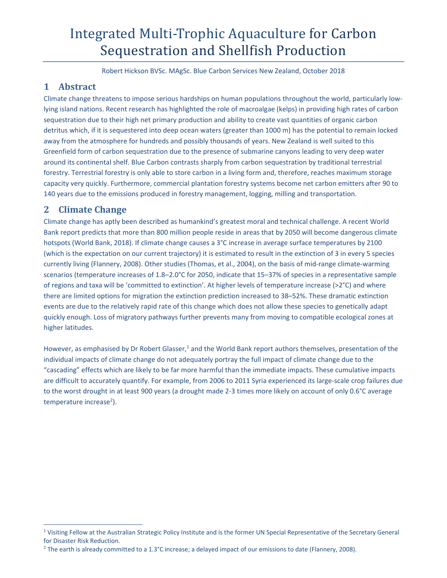# Integrated Multi-Trophic Aquaculture for Carbon Sequestration and Shellfish Production

Robert Hickson BVSc. MAgSc. Blue Carbon Services New Zealand, October 2018

## **1 Abstract**

Climate change threatens to impose serious hardships on human populations throughout the world, particularly low‐ lying island nations. Recent research has highlighted the role of macroalgae (kelps) in providing high rates of carbon sequestration due to their high net primary production and ability to create vast quantities of organic carbon detritus which, if it is sequestered into deep ocean waters (greater than 1000 m) has the potential to remain locked away from the atmosphere for hundreds and possibly thousands of years. New Zealand is well suited to this Greenfield form of carbon sequestration due to the presence of submarine canyons leading to very deep water around its continental shelf. Blue Carbon contrasts sharply from carbon sequestration by traditional terrestrial forestry. Terrestrial forestry is only able to store carbon in a living form and, therefore, reaches maximum storage capacity very quickly. Furthermore, commercial plantation forestry systems become net carbon emitters after 90 to 140 years due to the emissions produced in forestry management, logging, milling and transportation.

## **2 Climate Change**

Climate change has aptly been described as humankind's greatest moral and technical challenge. A recent World Bank report predicts that more than 800 million people reside in areas that by 2050 will become dangerous climate hotspots (World Bank, 2018). If climate change causes a 3°C increase in average surface temperatures by 2100 (which is the expectation on our current trajectory) it is estimated to result in the extinction of 3 in every 5 species currently living (Flannery, 2008). Other studies (Thomas, et al., 2004), on the basis of mid-range climate-warming scenarios (temperature increases of 1.8–2.0°C for 2050, indicate that 15–37% of species in a representative sample of regions and taxa will be 'committed to extinction'. At higher levels of temperature increase (>2°C) and where there are limited options for migration the extinction prediction increased to 38–52%. These dramatic extinction events are due to the relatively rapid rate of this change which does not allow these species to genetically adapt quickly enough. Loss of migratory pathways further prevents many from moving to compatible ecological zones at higher latitudes.

However, as emphasised by Dr Robert Glasser,<sup>1</sup> and the World Bank report authors themselves, presentation of the individual impacts of climate change do not adequately portray the full impact of climate change due to the "cascading" effects which are likely to be far more harmful than the immediate impacts. These cumulative impacts are difficult to accurately quantify. For example, from 2006 to 2011 Syria experienced its large-scale crop failures due to the worst drought in at least 900 years (a drought made 2‐3 times more likely on account of only 0.6°C average temperature increase<sup>2</sup>).

<sup>&</sup>lt;sup>1</sup> Visiting Fellow at the Australian Strategic Policy Institute and is the former UN Special Representative of the Secretary General for Disaster Risk Reduction.

<sup>&</sup>lt;sup>2</sup> The earth is already committed to a 1.3°C increase; a delayed impact of our emissions to date (Flannery, 2008).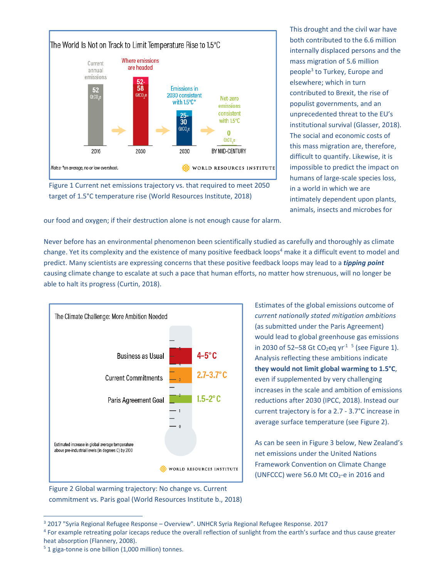

Figure 1 Current net emissions trajectory vs. that required to meet 2050 target of 1.5°C temperature rise (World Resources Institute, 2018)

This drought and the civil war have both contributed to the 6.6 million internally displaced persons and the mass migration of 5.6 million people3 to Turkey, Europe and elsewhere; which in turn contributed to Brexit, the rise of populist governments, and an unprecedented threat to the EU's institutional survival (Glasser, 2018). The social and economic costs of this mass migration are, therefore, difficult to quantify. Likewise, it is impossible to predict the impact on humans of large‐scale species loss, in a world in which we are intimately dependent upon plants, animals, insects and microbes for

our food and oxygen; if their destruction alone is not enough cause for alarm.

Never before has an environmental phenomenon been scientifically studied as carefully and thoroughly as climate change. Yet its complexity and the existence of many positive feedback loops<sup>4</sup> make it a difficult event to model and predict. Many scientists are expressing concerns that these positive feedback loops may lead to a *tipping point* causing climate change to escalate at such a pace that human efforts, no matter how strenuous, will no longer be able to halt its progress (Curtin, 2018).



Figure 2 Global warming trajectory: No change vs. Current commitment vs. Paris goal (World Resources Institute b., 2018) Estimates of the global emissions outcome of *current nationally stated mitigation ambitions* (as submitted under the Paris Agreement) would lead to global greenhouse gas emissions in 2030 of 52–58 Gt CO<sub>2</sub>eq yr<sup>-1 5</sup> (see Figure 1). Analysis reflecting these ambitions indicate **they would not limit global warming to 1.5°C**, even if supplemented by very challenging increases in the scale and ambition of emissions reductions after 2030 (IPCC, 2018). Instead our current trajectory is for a 2.7 ‐ 3.7°C increase in average surface temperature (see Figure 2).

As can be seen in Figure 3 below, New Zealand's net emissions under the United Nations Framework Convention on Climate Change (UNFCCC) were 56.0 Mt  $CO<sub>2</sub>$ -e in 2016 and

<u> 1989 - Johann Stein, mars ar breithinn ar chuid ann an t-</u>

<sup>3</sup> 2017 "Syria Regional Refugee Response – Overview". UNHCR Syria Regional Refugee Response. 2017

<sup>&</sup>lt;sup>4</sup> For example retreating polar icecaps reduce the overall reflection of sunlight from the earth's surface and thus cause greater heat absorption (Flannery, 2008).

<sup>&</sup>lt;sup>5</sup> 1 giga-tonne is one billion (1,000 million) tonnes.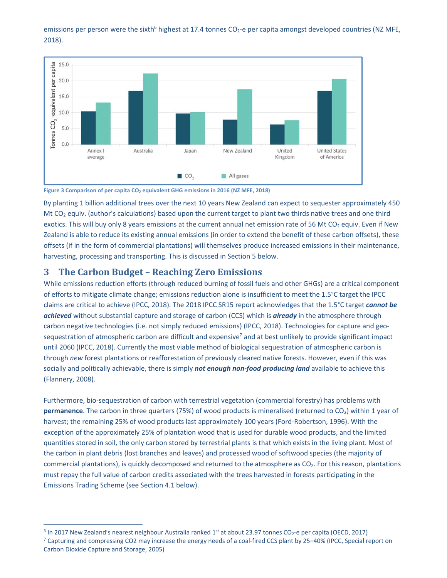emissions per person were the sixth<sup>6</sup> highest at 17.4 tonnes CO<sub>2</sub>-e per capita amongst developed countries (NZ MFE, 2018).



Figure 3 Comparison of per capita CO<sub>2</sub> equivalent GHG emissions in 2016 (NZ MFE, 2018)

By planting 1 billion additional trees over the next 10 years New Zealand can expect to sequester approximately 450 Mt CO<sub>2</sub> equiv. (author's calculations) based upon the current target to plant two thirds native trees and one third exotics. This will buy only 8 years emissions at the current annual net emission rate of 56 Mt CO<sub>2</sub> equiv. Even if New Zealand is able to reduce its existing annual emissions (in order to extend the benefit of these carbon offsets), these offsets (if in the form of commercial plantations) will themselves produce increased emissions in their maintenance, harvesting, processing and transporting. This is discussed in Section 5 below.

#### **3 The Carbon Budget – Reaching Zero Emissions**

While emissions reduction efforts (through reduced burning of fossil fuels and other GHGs) are a critical component of efforts to mitigate climate change; emissions reduction alone is insufficient to meet the 1.5°C target the IPCC claims are critical to achieve (IPCC, 2018). The 2018 IPCC SR15 report acknowledges that the 1.5°C target *cannot be achieved* without substantial capture and storage of carbon (CCS) which is *already* in the atmosphere through carbon negative technologies (i.e. not simply reduced emissions) (IPCC, 2018). Technologies for capture and geosequestration of atmospheric carbon are difficult and expensive<sup>7</sup> and at best unlikely to provide significant impact until 2060 (IPCC, 2018). Currently the most viable method of biological sequestration of atmospheric carbon is through *new* forest plantations or reafforestation of previously cleared native forests. However, even if this was socially and politically achievable, there is simply *not enough non‐food producing land* available to achieve this (Flannery, 2008).

Furthermore, bio-sequestration of carbon with terrestrial vegetation (commercial forestry) has problems with **permanence**. The carbon in three quarters (75%) of wood products is mineralised (returned to CO<sub>2</sub>) within 1 year of harvest; the remaining 25% of wood products last approximately 100 years (Ford‐Robertson, 1996). With the exception of the approximately 25% of plantation wood that is used for durable wood products, and the limited quantities stored in soil, the only carbon stored by terrestrial plants is that which exists in the living plant. Most of the carbon in plant debris (lost branches and leaves) and processed wood of softwood species (the majority of commercial plantations), is quickly decomposed and returned to the atmosphere as  $CO<sub>2</sub>$ . For this reason, plantations must repay the full value of carbon credits associated with the trees harvested in forests participating in the Emissions Trading Scheme (see Section 4.1 below).

<sup>&</sup>lt;sup>6</sup> In 2017 New Zealand's nearest neighbour Australia ranked 1<sup>st</sup> at about 23.97 tonnes CO<sub>2</sub>-e per capita (OECD, 2017) <sup>7</sup> Capturing and compressing CO2 may increase the energy needs of a coal-fired CCS plant by 25–40% (IPCC, Special report on Carbon Dioxide Capture and Storage, 2005)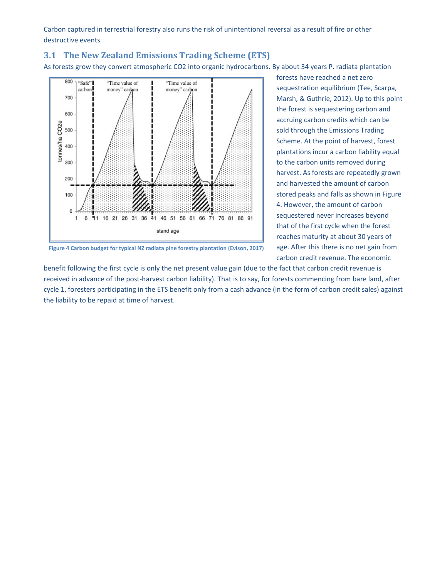Carbon captured in terrestrial forestry also runs the risk of unintentional reversal as a result of fire or other destructive events.

#### **3.1 The New Zealand Emissions Trading Scheme (ETS)**

As forests grow they convert atmospheric CO2 into organic hydrocarbons. By about 34 years P. radiata plantation



**Figure 4 Carbon budget for typical NZ radiata pine forestry plantation (Evison, 2017)**

harvest. As forests are repeatedly grown and harvested the amount of carbon stored peaks and falls as shown in Figure 4. However, the amount of carbon sequestered never increases beyond that of the first cycle when the forest reaches maturity at about 30 years of age. After this there is no net gain from carbon credit revenue. The economic benefit following the first cycle is only the net present value gain (due to the fact that carbon credit revenue is

forests have reached a net zero

sequestration equilibrium (Tee, Scarpa, Marsh, & Guthrie, 2012). Up to this point the forest is sequestering carbon and accruing carbon credits which can be sold through the Emissions Trading Scheme. At the point of harvest, forest plantations incur a carbon liability equal to the carbon units removed during

received in advance of the post-harvest carbon liability). That is to say, for forests commencing from bare land, after cycle 1, foresters participating in the ETS benefit only from a cash advance (in the form of carbon credit sales) against the liability to be repaid at time of harvest.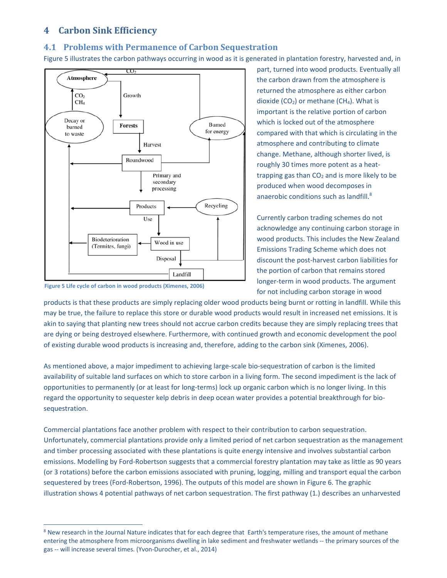## **4 Carbon Sink Efficiency**

#### **4.1 Problems with Permanence of Carbon Sequestration**

Figure 5 illustrates the carbon pathways occurring in wood as it is generated in plantation forestry, harvested and, in



**Figure 5 Life cycle of carbon in wood products (Ximenes, 2006)** 

part, turned into wood products. Eventually all the carbon drawn from the atmosphere is returned the atmosphere as either carbon dioxide  $(CO_2)$  or methane  $(CH_4)$ . What is important is the relative portion of carbon which is locked out of the atmosphere compared with that which is circulating in the atmosphere and contributing to climate change. Methane, although shorter lived, is roughly 30 times more potent as a heat‐ trapping gas than  $CO<sub>2</sub>$  and is more likely to be produced when wood decomposes in anaerobic conditions such as landfill.<sup>8</sup>

Currently carbon trading schemes do not acknowledge any continuing carbon storage in wood products. This includes the New Zealand Emissions Trading Scheme which does not discount the post‐harvest carbon liabilities for the portion of carbon that remains stored longer‐term in wood products. The argument for not including carbon storage in wood

products is that these products are simply replacing older wood products being burnt or rotting in landfill. While this may be true, the failure to replace this store or durable wood products would result in increased net emissions. It is akin to saying that planting new trees should not accrue carbon credits because they are simply replacing trees that are dying or being destroyed elsewhere. Furthermore, with continued growth and economic development the pool of existing durable wood products is increasing and, therefore, adding to the carbon sink (Ximenes, 2006).

As mentioned above, a major impediment to achieving large‐scale bio‐sequestration of carbon is the limited availability of suitable land surfaces on which to store carbon in a living form. The second impediment is the lack of opportunities to permanently (or at least for long‐terms) lock up organic carbon which is no longer living. In this regard the opportunity to sequester kelp debris in deep ocean water provides a potential breakthrough for biosequestration.

Commercial plantations face another problem with respect to their contribution to carbon sequestration. Unfortunately, commercial plantations provide only a limited period of net carbon sequestration as the management and timber processing associated with these plantations is quite energy intensive and involves substantial carbon emissions. Modelling by Ford-Robertson suggests that a commercial forestry plantation may take as little as 90 years (or 3 rotations) before the carbon emissions associated with pruning, logging, milling and transport equal the carbon sequestered by trees (Ford‐Robertson, 1996). The outputs of this model are shown in Figure 6. The graphic illustration shows 4 potential pathways of net carbon sequestration. The first pathway (1.) describes an unharvested

<sup>&</sup>lt;sup>8</sup> New research in the Journal Nature indicates that for each degree that Earth's temperature rises, the amount of methane entering the atmosphere from microorganisms dwelling in lake sediment and freshwater wetlands ‐‐ the primary sources of the gas ‐‐ will increase several times. (Yvon‐Durocher, et al., 2014)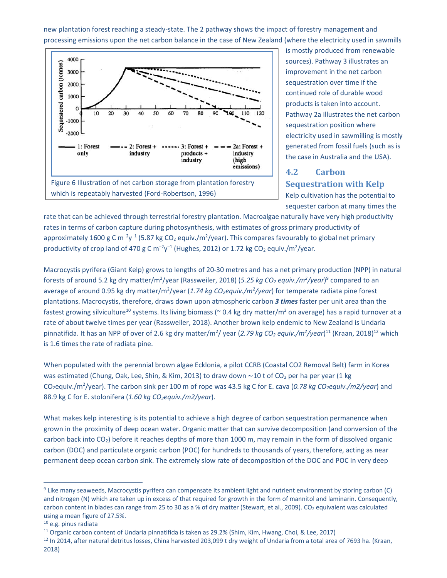new plantation forest reaching a steady‐state. The 2 pathway shows the impact of forestry management and processing emissions upon the net carbon balance in the case of New Zealand (where the electricity used in sawmills



is mostly produced from renewable sources). Pathway 3 illustrates an improvement in the net carbon sequestration over time if the continued role of durable wood products is taken into account. Pathway 2a illustrates the net carbon sequestration position where electricity used in sawmilling is mostly generated from fossil fuels (such as is the case in Australia and the USA).

## **4.2 Carbon Sequestration with Kelp**

Kelp cultivation has the potential to sequester carbon at many times the

rate that can be achieved through terrestrial forestry plantation. Macroalgae naturally have very high productivity rates in terms of carbon capture during photosynthesis, with estimates of gross primary productivity of approximately 1600 g C m<sup>-2</sup>y<sup>-1</sup> (5.87 kg CO<sub>2</sub> equiv./m<sup>2</sup>/year). This compares favourably to global net primary productivity of crop land of 470 g C  $m^{-2}y^{-1}$  (Hughes, 2012) or 1.72 kg CO<sub>2</sub> equiv./m<sup>2</sup>/year.

Macrocystis pyrifera (Giant Kelp) grows to lengths of 20‐30 metres and has a net primary production (NPP) in natural forests of around 5.2 kg dry matter/m<sup>2</sup>/year (Rassweiler, 2018) (5.*25 kg CO<sub>2</sub> equiv./m<sup>2</sup>/year*)<sup>9</sup> compared to an average of around 0.95 kg dry matter/m<sup>2</sup>/year (1.74 kg CO<sub>2</sub>equiv./m<sup>2</sup>/year) for temperate radiata pine forest plantations. Macrocystis, therefore, draws down upon atmospheric carbon *3 times* faster per unit area than the fastest growing silviculture<sup>10</sup> systems. Its living biomass (~ 0.4 kg dry matter/m<sup>2</sup> on average) has a rapid turnover at a rate of about twelve times per year (Rassweiler, 2018). Another brown kelp endemic to New Zealand is Undaria pinnatifida. It has an NPP of over of 2.6 kg dry matter/m<sup>2</sup>/ year (2.79 kg CO<sub>2</sub> equiv./m<sup>2</sup>/year)<sup>11</sup> (Kraan, 2018)<sup>12</sup> which is 1.6 times the rate of radiata pine.

When populated with the perennial brown algae Ecklonia, a pilot CCRB (Coastal CO2 Removal Belt) farm in Korea was estimated (Chung, Oak, Lee, Shin, & Kim, 2013) to draw down ~10 t of CO<sub>2</sub> per ha per year (1 kg CO<sub>2</sub>equiv./m<sup>2</sup>/year). The carbon sink per 100 m of rope was 43.5 kg C for E. cava (0.78 kg CO<sub>2</sub>equiv./m2/year) and 88.9 kg C for E. stolonifera (*1.60 kg CO2equiv./m2/year*).

What makes kelp interesting is its potential to achieve a high degree of carbon sequestration permanence when grown in the proximity of deep ocean water. Organic matter that can survive decomposition (and conversion of the carbon back into CO<sub>2</sub>) before it reaches depths of more than 1000 m, may remain in the form of dissolved organic carbon (DOC) and particulate organic carbon (POC) for hundreds to thousands of years, therefore, acting as near permanent deep ocean carbon sink. The extremely slow rate of decomposition of the DOC and POC in very deep

<u> 1989 - Johann Stein, mars ar breis an t-Amhainn an t-Amhainn an t-Amhainn an t-Amhainn an t-Amhainn an t-Amhai</u>

<sup>&</sup>lt;sup>9</sup> Like many seaweeds, Macrocystis pyrifera can compensate its ambient light and nutrient environment by storing carbon (C) and nitrogen (N) which are taken up in excess of that required for growth in the form of mannitol and laminarin. Consequently, carbon content in blades can range from 25 to 30 as a % of dry matter (Stewart, et al., 2009). CO<sub>2</sub> equivalent was calculated using a mean figure of 27.5%.

<sup>10</sup> e.g. pinus radiata

<sup>&</sup>lt;sup>11</sup> Organic carbon content of Undaria pinnatifida is taken as 29.2% (Shim, Kim, Hwang, Choi, & Lee, 2017)

<sup>&</sup>lt;sup>12</sup> In 2014, after natural detritus losses, China harvested 203,099 t dry weight of Undaria from a total area of 7693 ha. (Kraan, 2018)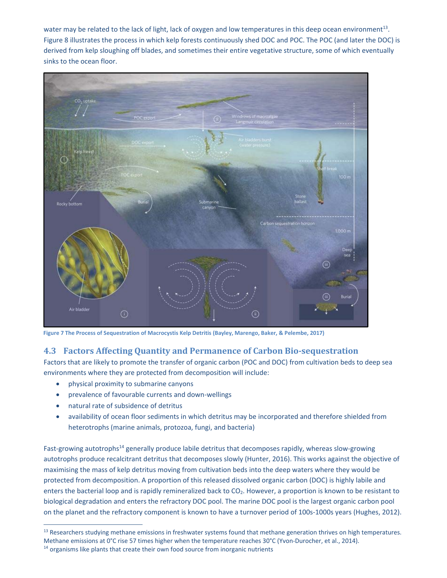water may be related to the lack of light, lack of oxygen and low temperatures in this deep ocean environment<sup>13</sup>. Figure 8 illustrates the process in which kelp forests continuously shed DOC and POC. The POC (and later the DOC) is derived from kelp sloughing off blades, and sometimes their entire vegetative structure, some of which eventually sinks to the ocean floor.



**Figure 7 The Process of Sequestration of Macrocystis Kelp Detritis (Bayley, Marengo, Baker, & Pelembe, 2017)**

#### **4.3 Factors Affecting Quantity and Permanence of Carbon Bio‐sequestration**

Factors that are likely to promote the transfer of organic carbon (POC and DOC) from cultivation beds to deep sea environments where they are protected from decomposition will include:

- physical proximity to submarine canyons
- prevalence of favourable currents and down-wellings
- natural rate of subsidence of detritus

 availability of ocean floor sediments in which detritus may be incorporated and therefore shielded from heterotrophs (marine animals, protozoa, fungi, and bacteria)

Fast-growing autotrophs<sup>14</sup> generally produce labile detritus that decomposes rapidly, whereas slow-growing autotrophs produce recalcitrant detritus that decomposes slowly (Hunter, 2016). This works against the objective of maximising the mass of kelp detritus moving from cultivation beds into the deep waters where they would be protected from decomposition. A proportion of this released dissolved organic carbon (DOC) is highly labile and enters the bacterial loop and is rapidly remineralized back to CO<sub>2</sub>. However, a proportion is known to be resistant to biological degradation and enters the refractory DOC pool. The marine DOC pool is the largest organic carbon pool on the planet and the refractory component is known to have a turnover period of 100s-1000s years (Hughes, 2012).

<sup>&</sup>lt;sup>13</sup> Researchers studying methane emissions in freshwater systems found that methane generation thrives on high temperatures. Methane emissions at 0°C rise 57 times higher when the temperature reaches 30°C (Yvon-Durocher, et al., 2014).

<sup>&</sup>lt;sup>14</sup> organisms like plants that create their own food source from inorganic nutrients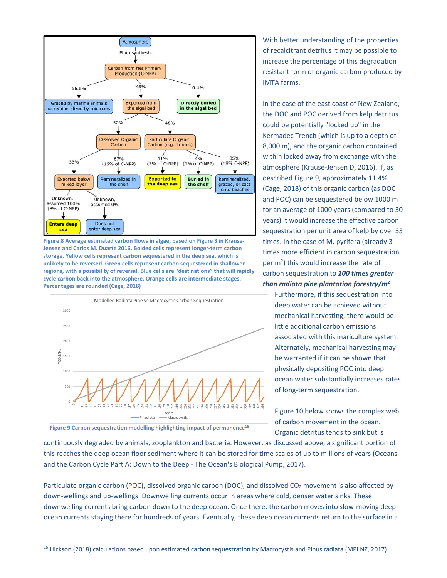

**Figure 8 Average estimated carbon flows in algae, based on Figure 3 in Krause‐ Jensen and Carlos M. Duarte 2016. Bolded cells represent longer‐term carbon storage. Yellow cells represent carbon sequestered in the deep sea, which is unlikely to be reversed. Green cells represent carbon sequestered in shallower regions, with a possibility of reversal. Blue cells are "destinations" that will rapidly cycle carbon back into the atmosphere. Orange cells are intermediate stages. Percentages are rounded (Cage, 2018)**



In the case of the east coast of New Zealand, the DOC and POC derived from kelp detritus

IMTA farms.

could be potentially "locked up" in the Kermadec Trench (which is up to a depth of 8,000 m), and the organic carbon contained within locked away from exchange with the atmosphere (Krause‐Jensen D, 2016). If, as described Figure 9, approximately 11.4% (Cage, 2018) of this organic carbon (as DOC and POC) can be sequestered below 1000 m for an average of 1000 years (compared to 30 years) it would increase the effective carbon sequestration per unit area of kelp by over 33 times. In the case of M. pyrifera (already 3 times more efficient in carbon sequestration per m<sup>2</sup>) this would increase the rate of carbon sequestration to *100 times greater than radiata pine plantation forestry/m2* .

With better understanding of the properties of recalcitrant detritus it may be possible to increase the percentage of this degradation resistant form of organic carbon produced by

Furthermore, if this sequestration into deep water can be achieved without mechanical harvesting, there would be little additional carbon emissions associated with this mariculture system. Alternately, mechanical harvesting may be warranted if it can be shown that physically depositing POC into deep ocean water substantially increases rates of long‐term sequestration.

Figure 10 below shows the complex web of carbon movement in the ocean. Organic detritus tends to sink but is

**Figure 9 Carbon sequestration modelling highlighting impact of permanence15**

<u> 1989 - Johann Stein, mars ar breithinn ar chuid ann an t-</u>

continuously degraded by animals, zooplankton and bacteria. However, as discussed above, a significant portion of this reaches the deep ocean floor sediment where it can be stored for time scales of up to millions of years (Oceans and the Carbon Cycle Part A: Down to the Deep ‐ The Ocean's Biological Pump, 2017).

Particulate organic carbon (POC), dissolved organic carbon (DOC), and dissolved CO<sub>2</sub> movement is also affected by down‐wellings and up‐wellings. Downwelling currents occur in areas where cold, denser water sinks. These downwelling currents bring carbon down to the deep ocean. Once there, the carbon moves into slow‐moving deep ocean currents staying there for hundreds of years. Eventually, these deep ocean currents return to the surface in a

<sup>&</sup>lt;sup>15</sup> Hickson (2018) calculations based upon estimated carbon sequestration by Macrocystis and Pinus radiata (MPI NZ, 2017)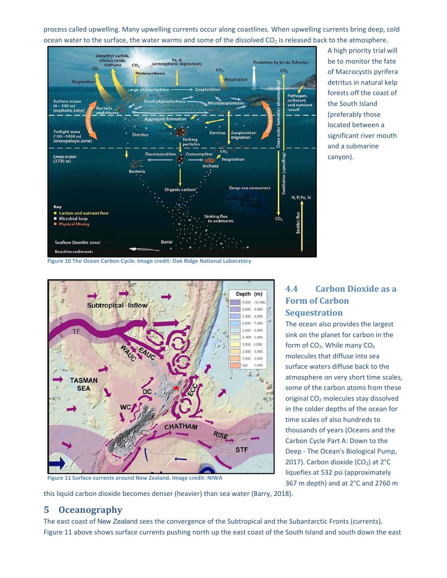process called upwelling. Many upwelling currents occur along coastlines. When upwelling currents bring deep, cold ocean water to the surface, the water warms and some of the dissolved  $CO<sub>2</sub>$  is released back to the atmosphere.



A high priority trial will be to monitor the fate of Macrocystis pyrifera detritus in natural kelp forests off the coast of the South Island (preferably those located between a significant river mouth and a submarine canyon).

**Figure 10 The Ocean Carbon Cycle. Image credit: Oak Ridge National Laboratory**



## **4.4 Carbon Dioxide as a Form of Carbon Sequestration**

The ocean also provides the largest sink on the planet for carbon in the form of  $CO<sub>2</sub>$ . While many  $CO<sub>2</sub>$ molecules that diffuse into sea surface waters diffuse back to the atmosphere on very short time scales, some of the carbon atoms from these original CO2 molecules stay dissolved in the colder depths of the ocean for time scales of also hundreds to thousands of years (Oceans and the Carbon Cycle Part A: Down to the Deep ‐ The Ocean's Biological Pump, 2017). Carbon dioxide (CO<sub>2</sub>) at  $2^{\circ}$ C liquefies at 532 psi (approximately 367 m depth) and at 2°C and 2760 m

**Figure 11 Surface currents around New Zealand. Image credit: NIWA**

this liquid carbon dioxide becomes denser (heavier) than sea water (Barry, 2018).

## **5 Oceanography**

The east coast of New Zealand sees the convergence of the Subtropical and the Subantarctic Fronts (currents). Figure 11 above shows surface currents pushing north up the east coast of the South Island and south down the east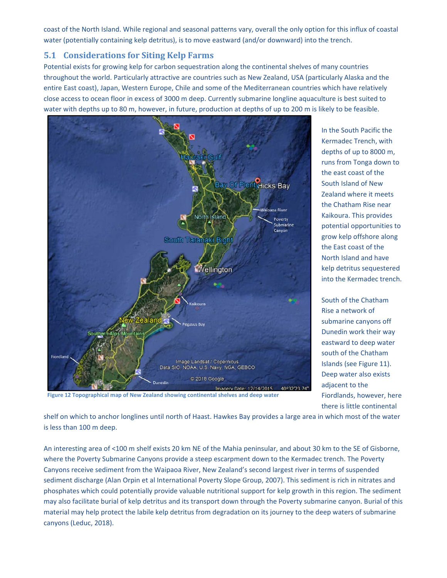coast of the North Island. While regional and seasonal patterns vary, overall the only option for this influx of coastal water (potentially containing kelp detritus), is to move eastward (and/or downward) into the trench.

## **5.1 Considerations for Siting Kelp Farms**

Potential exists for growing kelp for carbon sequestration along the continental shelves of many countries throughout the world. Particularly attractive are countries such as New Zealand, USA (particularly Alaska and the entire East coast), Japan, Western Europe, Chile and some of the Mediterranean countries which have relatively close access to ocean floor in excess of 3000 m deep. Currently submarine longline aquaculture is best suited to water with depths up to 80 m, however, in future, production at depths of up to 200 m is likely to be feasible.



In the South Pacific the Kermadec Trench, with depths of up to 8000 m, runs from Tonga down to the east coast of the South Island of New Zealand where it meets the Chatham Rise near Kaikoura. This provides potential opportunities to grow kelp offshore along the East coast of the North Island and have kelp detritus sequestered into the Kermadec trench.

South of the Chatham Rise a network of submarine canyons off Dunedin work their way eastward to deep water south of the Chatham Islands (see Figure 11). Deep water also exists adjacent to the Fiordlands, however, here there is little continental

**Figure 12 Topographical map of New Zealand showing continental shelves and deep water** 

shelf on which to anchor longlines until north of Haast. Hawkes Bay provides a large area in which most of the water is less than 100 m deep.

An interesting area of <100 m shelf exists 20 km NE of the Mahia peninsular, and about 30 km to the SE of Gisborne, where the Poverty Submarine Canyons provide a steep escarpment down to the Kermadec trench. The Poverty Canyons receive sediment from the Waipaoa River, New Zealand's second largest river in terms of suspended sediment discharge (Alan Orpin et al International Poverty Slope Group, 2007). This sediment is rich in nitrates and phosphates which could potentially provide valuable nutritional support for kelp growth in this region. The sediment may also facilitate burial of kelp detritus and its transport down through the Poverty submarine canyon. Burial of this material may help protect the labile kelp detritus from degradation on its journey to the deep waters of submarine canyons (Leduc, 2018).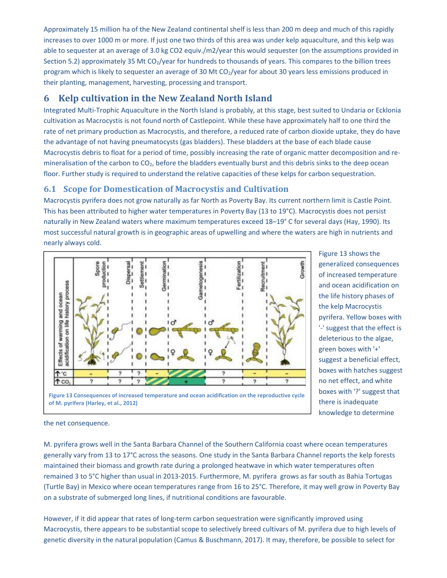Approximately 15 million ha of the New Zealand continental shelf is less than 200 m deep and much of this rapidly increases to over 1000 m or more. If just one two thirds of this area was under kelp aquaculture, and this kelp was able to sequester at an average of 3.0 kg CO2 equiv./m2/year this would sequester (on the assumptions provided in Section 5.2) approximately 35 Mt CO<sub>2</sub>/year for hundreds to thousands of years. This compares to the billion trees program which is likely to sequester an average of 30 Mt CO<sub>2</sub>/year for about 30 years less emissions produced in their planting, management, harvesting, processing and transport.

## **6 Kelp cultivation in the New Zealand North Island**

Integrated Multi‐Trophic Aquaculture in the North Island is probably, at this stage, best suited to Undaria or Ecklonia cultivation as Macrocystis is not found north of Castlepoint. While these have approximately half to one third the rate of net primary production as Macrocystis, and therefore, a reduced rate of carbon dioxide uptake, they do have the advantage of not having pneumatocysts (gas bladders). These bladders at the base of each blade cause Macrocystis debris to float for a period of time, possibly increasing the rate of organic matter decomposition and re‐ mineralisation of the carbon to  $CO<sub>2</sub>$ , before the bladders eventually burst and this debris sinks to the deep ocean floor. Further study is required to understand the relative capacities of these kelps for carbon sequestration.

### **6.1 Scope for Domestication of Macrocystis and Cultivation**

Macrocystis pyrifera does not grow naturally as far North as Poverty Bay. Its current northern limit is Castle Point. This has been attributed to higher water temperatures in Poverty Bay (13 to 19°C). Macrocystis does not persist naturally in New Zealand waters where maximum temperatures exceed 18–19° C for several days (Hay, 1990). Its most successful natural growth is in geographic areas of upwelling and where the waters are high in nutrients and nearly always cold.



Figure 13 shows the generalized consequences of increased temperature and ocean acidification on the life history phases of the kelp Macrocystis pyrifera. Yellow boxes with '‐' suggest that the effect is deleterious to the algae, green boxes with '+' suggest a beneficial effect, boxes with hatches suggest no net effect, and white boxes with '?' suggest that there is inadequate knowledge to determine



the net consequence.

M. pyrifera grows well in the Santa Barbara Channel of the Southern California coast where ocean temperatures generally vary from 13 to 17°C across the seasons. One study in the Santa Barbara Channel reports the kelp forests maintained their biomass and growth rate during a prolonged heatwave in which water temperatures often remained 3 to 5°C higher than usual in 2013‐2015. Furthermore, M. pyrifera grows as far south as Bahia Tortugas (Turtle Bay) in Mexico where ocean temperatures range from 16 to 25°C. Therefore, it may well grow in Poverty Bay on a substrate of submerged long lines, if nutritional conditions are favourable.

However, if it did appear that rates of long-term carbon sequestration were significantly improved using Macrocystis, there appears to be substantial scope to selectively breed cultivars of M. pyrifera due to high levels of genetic diversity in the natural population (Camus & Buschmann, 2017). It may, therefore, be possible to select for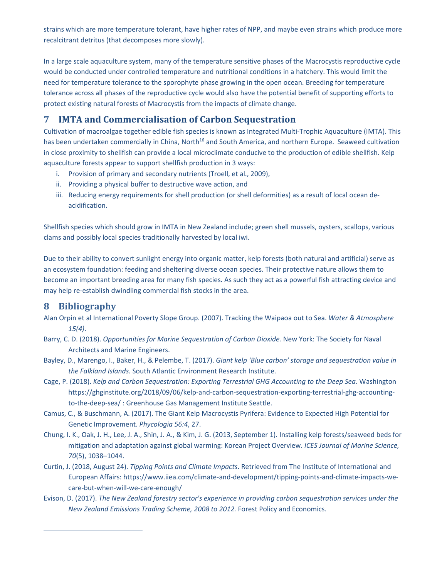strains which are more temperature tolerant, have higher rates of NPP, and maybe even strains which produce more recalcitrant detritus (that decomposes more slowly).

In a large scale aquaculture system, many of the temperature sensitive phases of the Macrocystis reproductive cycle would be conducted under controlled temperature and nutritional conditions in a hatchery. This would limit the need for temperature tolerance to the sporophyte phase growing in the open ocean. Breeding for temperature tolerance across all phases of the reproductive cycle would also have the potential benefit of supporting efforts to protect existing natural forests of Macrocystis from the impacts of climate change.

## **7 IMTA and Commercialisation of Carbon Sequestration**

Cultivation of macroalgae together edible fish species is known as Integrated Multi‐Trophic Aquaculture (IMTA). This has been undertaken commercially in China, North<sup>16</sup> and South America, and northern Europe. Seaweed cultivation in close proximity to shellfish can provide a local microclimate conducive to the production of edible shellfish. Kelp aquaculture forests appear to support shellfish production in 3 ways:

- i. Provision of primary and secondary nutrients (Troell, et al., 2009),
- ii. Providing a physical buffer to destructive wave action, and
- iii. Reducing energy requirements for shell production (or shell deformities) as a result of local ocean de‐ acidification.

Shellfish species which should grow in IMTA in New Zealand include; green shell mussels, oysters, scallops, various clams and possibly local species traditionally harvested by local iwi.

Due to their ability to convert sunlight energy into organic matter, kelp forests (both natural and artificial) serve as an ecosystem foundation: feeding and sheltering diverse ocean species. Their protective nature allows them to become an important breeding area for many fish species. As such they act as a powerful fish attracting device and may help re-establish dwindling commercial fish stocks in the area.

## **8 Bibliography**

<u> 1989 - Johann Stein, mars ar breis an t-Amhainn an t-Amhainn an t-Amhainn an t-Amhainn an t-Amhainn an t-Amhai</u>

- Alan Orpin et al International Poverty Slope Group. (2007). Tracking the Waipaoa out to Sea. *Water & Atmosphere 15(4)*.
- Barry, C. D. (2018). *Opportunities for Marine Sequestration of Carbon Dioxide.* New York: The Society for Naval Architects and Marine Engineers.
- Bayley, D., Marengo, I., Baker, H., & Pelembe, T. (2017). *Giant kelp 'Blue carbon' storage and sequestration value in the Falkland Islands.* South Atlantic Environment Research Institute.
- Cage, P. (2018). *Kelp and Carbon Sequestration: Exporting Terrestrial GHG Accounting to the Deep Sea.* Washington https://ghginstitute.org/2018/09/06/kelp-and-carbon-sequestration-exporting-terrestrial-ghg-accountingto-the-deep-sea/ : Greenhouse Gas Management Institute Seattle.
- Camus, C., & Buschmann, A. (2017). The Giant Kelp Macrocystis Pyrifera: Evidence to Expected High Potential for Genetic Improvement. *Phycologia 56:4*, 27.
- Chung, I. K., Oak, J. H., Lee, J. A., Shin, J. A., & Kim, J. G. (2013, September 1). Installing kelp forests/seaweed beds for mitigation and adaptation against global warming: Korean Project Overview. *ICES Journal of Marine Science, 70*(5), 1038–1044.
- Curtin, J. (2018, August 24). *Tipping Points and Climate Impacts*. Retrieved from The Institute of International and European Affairs: https://www.iiea.com/climate‐and‐development/tipping‐points‐and‐climate‐impacts‐we‐ care‐but‐when‐will‐we‐care‐enough/
- Evison, D. (2017). *The New Zealand forestry sector's experience in providing carbon sequestration services under the New Zealand Emissions Trading Scheme, 2008 to 2012.* Forest Policy and Economics.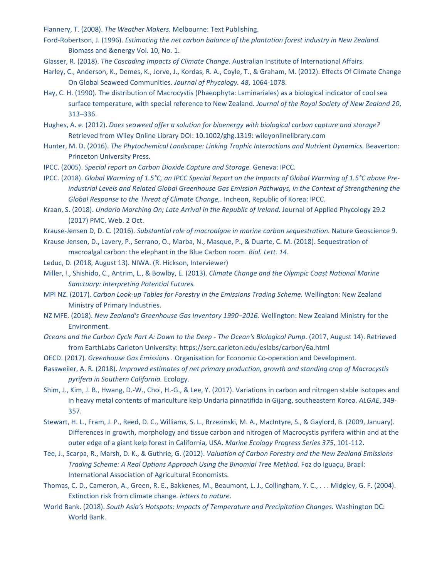Flannery, T. (2008). *The Weather Makers.* Melbourne: Text Publishing.

- Ford-Robertson, J. (1996). *Estimating the net carbon balance of the plantation forest industry in New Zealand.* Biomass and &energy Vol. 10, No. 1.
- Glasser, R. (2018). *The Cascading Impacts of Climate Change.* Australian Institute of International Affairs.
- Harley, C., Anderson, K., Demes, K., Jorve, J., Kordas, R. A., Coyle, T., & Graham, M. (2012). Effects Of Climate Change On Global Seaweed Communities. *Journal of Phycology. 48*, 1064‐1078.
- Hay, C. H. (1990). The distribution of Macrocystis (Phaeophyta: Laminariales) as a biological indicator of cool sea surface temperature, with special reference to New Zealand. *Journal of the Royal Society of New Zealand 20*, 313–336.
- Hughes, A. e. (2012). *Does seaweed offer a solution for bioenergy with biological carbon capture and storage?* Retrieved from Wiley Online Library DOI: 10.1002/ghg.1319: wileyonlinelibrary.com
- Hunter, M. D. (2016). *The Phytochemical Landscape: Linking Trophic Interactions and Nutrient Dynamics.* Beaverton: Princeton University Press.
- IPCC. (2005). *Special report on Carbon Dioxide Capture and Storage.* Geneva: IPCC.
- IPCC. (2018). *Global Warming of 1.5°C, an IPCC Special Report on the Impacts of Global Warming of 1.5°C above Pre‐ industrial Levels and Related Global Greenhouse Gas Emission Pathways, in the Context of Strengthening the Global Response to the Threat of Climate Change,.* Incheon, Republic of Korea: IPCC.
- Kraan, S. (2018). *Undaria Marching On; Late Arrival in the Republic of Ireland.* Journal of Applied Phycology 29.2 (2017) PMC. Web. 2 Oct.
- Krause‐Jensen D, D. C. (2016). *Substantial role of macroalgae in marine carbon sequestration.* Nature Geoscience 9.
- Krause‐Jensen, D., Lavery, P., Serrano, O., Marba, N., Masque, P., & Duarte, C. M. (2018). Sequestration of macroalgal carbon: the elephant in the Blue Carbon room. *Biol. Lett. 14*.
- Leduc, D. (2018, August 13). NIWA. (R. Hickson, Interviewer)
- Miller, I., Shishido, C., Antrim, L., & Bowlby, E. (2013). *Climate Change and the Olympic Coast National Marine Sanctuary: Interpreting Potential Futures.*
- MPI NZ. (2017). *Carbon Look‐up Tables for Forestry in the Emissions Trading Scheme.* Wellington: New Zealand Ministry of Primary Industries.
- NZ MFE. (2018). *New Zealand's Greenhouse Gas Inventory 1990–2016.* Wellington: New Zealand Ministry for the Environment.
- *Oceans and the Carbon Cycle Part A: Down to the Deep ‐ The Ocean's Biological Pump*. (2017, August 14). Retrieved from EarthLabs Carleton University: https://serc.carleton.edu/eslabs/carbon/6a.html
- OECD. (2017). *Greenhouse Gas Emissions .* Organisation for Economic Co‐operation and Development.
- Rassweiler, A. R. (2018). *Improved estimates of net primary production, growth and standing crop of Macrocystis pyrifera in Southern California.* Ecology.
- Shim, J., Kim, J. B., Hwang, D.‐W., Choi, H.‐G., & Lee, Y. (2017). Variations in carbon and nitrogen stable isotopes and in heavy metal contents of mariculture kelp Undaria pinnatifida in Gijang, southeastern Korea. *ALGAE*, 349‐ 357.
- Stewart, H. L., Fram, J. P., Reed, D. C., Williams, S. L., Brzezinski, M. A., MacIntyre, S., & Gaylord, B. (2009, January). Differences in growth, morphology and tissue carbon and nitrogen of Macrocystis pyrifera within and at the outer edge of a giant kelp forest in California, USA. *Marine Ecology Progress Series 375*, 101‐112.
- Tee, J., Scarpa, R., Marsh, D. K., & Guthrie, G. (2012). *Valuation of Carbon Forestry and the New Zealand Emissions Trading Scheme: A Real Options Approach Using the Binomial Tree Method.* Foz do Iguaçu, Brazil: International Association of Agricultural Economists.
- Thomas, C. D., Cameron, A., Green, R. E., Bakkenes, M., Beaumont, L. J., Collingham, Y. C., . . . Midgley, G. F. (2004). Extinction risk from climate change. *letters to nature*.
- World Bank. (2018). *South Asia's Hotspots: Impacts of Temperature and Precipitation Changes.* Washington DC: World Bank.